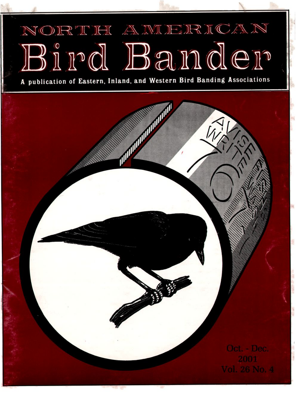## NORTH AMERICAN Bird Bander

**A publication of Eastern, Inland, and Western Bird Banding Associations**